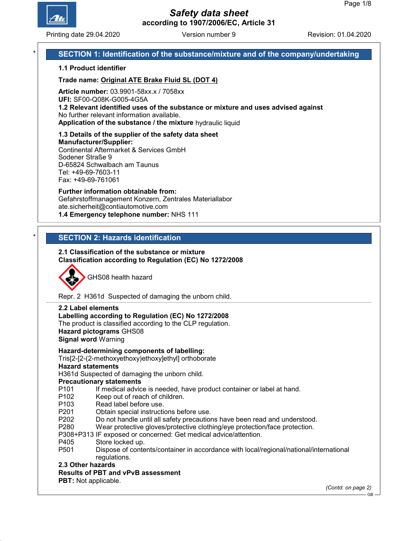

Printing date 29.04.2020 **Revision: 01.04.2020** Version number 9 Revision: 01.04.2020

## SECTION 1: Identification of the substance/mixture and of the company/undertaking

### 1.1 Product identifier

Trade name: Original ATE Brake Fluid SL (DOT 4)

Article number: 03.9901-58xx.x / 7058xx

UFI: SF00-Q08K-G005-4G5A

1.2 Relevant identified uses of the substance or mixture and uses advised against No further relevant information available.

Application of the substance / the mixture hydraulic liquid

1.3 Details of the supplier of the safety data sheet Manufacturer/Supplier: Continental Aftermarket & Services GmbH Sodener Straße 9 D-65824 Schwalbach am Taunus

Tel: +49-69-7603-11 Fax: +49-69-761061

Further information obtainable from: Gefahrstoffmanagement Konzern, Zentrales Materiallabor ate.sicherheit@contiautomotive.com 1.4 Emergency telephone number: NHS 111

## **SECTION 2: Hazards identification**

### 2.1 Classification of the substance or mixture Classification according to Regulation (EC) No 1272/2008



Repr. 2 H361d Suspected of damaging the unborn child.

#### 2.2 Label elements

#### Labelling according to Regulation (EC) No 1272/2008

The product is classified according to the CLP regulation. Hazard pictograms GHS08

Signal word Warning

Hazard-determining components of labelling:

#### Tris[2-[2-(2-methoxyethoxy)ethoxy]ethyl] orthoborate

#### Hazard statements

H361d Suspected of damaging the unborn child.

Precautionary statements

- P101 If medical advice is needed, have product container or label at hand.
- P102 Keep out of reach of children.
- P103 Read label before use.
- P201 Obtain special instructions before use.
- P202 Do not handle until all safety precautions have been read and understood.
- P280 Wear protective gloves/protective clothing/eye protection/face protection.
- P308+P313 IF exposed or concerned: Get medical advice/attention.
- P405 Store locked up.
- P501 Dispose of contents/container in accordance with local/regional/national/international regulations.

2.3 Other hazards

## Results of PBT and vPvB assessment

PBT: Not applicable.

(Contd. on page 2)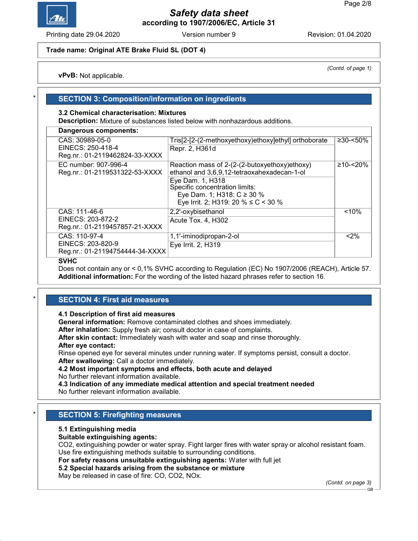

Printing date 29.04.2020 **Revision: 01.04.2020** Version number 9 Revision: 01.04.2020

## Trade name: Original ATE Brake Fluid SL (DOT 4)

vPvB: Not applicable.

## **SECTION 3: Composition/information on ingredients**

## 3.2 Chemical characterisation: Mixtures

Description: Mixture of substances listed below with nonhazardous additions.

| Dangerous components:                                                  |                                                                                                                                                                                                                                  |                |
|------------------------------------------------------------------------|----------------------------------------------------------------------------------------------------------------------------------------------------------------------------------------------------------------------------------|----------------|
| CAS: 30989-05-0<br>EINECS: 250-418-4<br>Reg.nr.: 01-2119462824-33-XXXX | Tris[2-[2-(2-methoxyethoxy)ethoxy]ethyl] orthoborate<br>Repr. 2, H361d                                                                                                                                                           | $≥30-≤50%$     |
| EC number: 907-996-4<br>Reg.nr.: 01-2119531322-53-XXXX                 | Reaction mass of 2-(2-(2-butoxyethoxy)ethoxy)<br>ethanol and 3,6,9,12-tetraoxahexadecan-1-ol<br>Eye Dam. 1, H318<br>Specific concentration limits:<br>Eye Dam. 1; H318: $C \ge 30$ %<br>Eye Irrit. 2; H319: 20 % $\leq$ C < 30 % | $≥10 - < 20\%$ |
| CAS: 111-46-6<br>EINECS: 203-872-2<br>Reg.nr.: 01-2119457857-21-XXXX   | 2,2'-oxybisethanol<br>Acute Tox. 4, H302                                                                                                                                                                                         | < 10%          |
| CAS: 110-97-4<br>EINECS: 203-820-9<br>Reg.nr.: 01-21194754444-34-XXXX  | 1,1'-iminodipropan-2-ol<br>Eye Irrit. 2, H319                                                                                                                                                                                    | < 2%           |

#### SVHC

Does not contain any or < 0,1% SVHC according to Regulation (EC) No 1907/2006 (REACH), Article 57. Additional information: For the wording of the listed hazard phrases refer to section 16.

## **SECTION 4: First aid measures**

#### 4.1 Description of first aid measures

General information: Remove contaminated clothes and shoes immediately.

After inhalation: Supply fresh air; consult doctor in case of complaints.

After skin contact: Immediately wash with water and soap and rinse thoroughly.

After eye contact:

Rinse opened eye for several minutes under running water. If symptoms persist, consult a doctor. After swallowing: Call a doctor immediately.

## 4.2 Most important symptoms and effects, both acute and delayed

No further relevant information available.

4.3 Indication of any immediate medical attention and special treatment needed No further relevant information available.

## **SECTION 5: Firefighting measures**

## 5.1 Extinguishing media

Suitable extinguishing agents:

CO2, extinguishing powder or water spray. Fight larger fires with water spray or alcohol resistant foam. Use fire extinguishing methods suitable to surrounding conditions.

For safety reasons unsuitable extinguishing agents: Water with full jet

## 5.2 Special hazards arising from the substance or mixture

May be released in case of fire: CO, CO2, NOx.

(Contd. on page 3)

(Contd. of page 1)

GB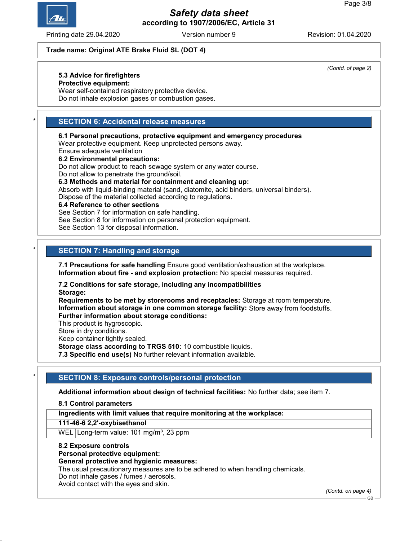

Printing date 29.04.2020 **Revision: 01.04.2020** Version number 9 Revision: 01.04.2020

### Trade name: Original ATE Brake Fluid SL (DOT 4)

## 5.3 Advice for firefighters

Protective equipment:

Wear self-contained respiratory protective device. Do not inhale explosion gases or combustion gases.

## **SECTION 6: Accidental release measures**

6.1 Personal precautions, protective equipment and emergency procedures

Wear protective equipment. Keep unprotected persons away.

Ensure adequate ventilation

## 6.2 Environmental precautions:

Do not allow product to reach sewage system or any water course. Do not allow to penetrate the ground/soil.

6.3 Methods and material for containment and cleaning up:

Absorb with liquid-binding material (sand, diatomite, acid binders, universal binders). Dispose of the material collected according to regulations.

#### 6.4 Reference to other sections

See Section 7 for information on safe handling.

See Section 8 for information on personal protection equipment.

See Section 13 for disposal information.

## **SECTION 7: Handling and storage**

7.1 Precautions for safe handling Ensure good ventilation/exhaustion at the workplace. Information about fire - and explosion protection: No special measures required.

7.2 Conditions for safe storage, including any incompatibilities Storage:

Requirements to be met by storerooms and receptacles: Storage at room temperature. Information about storage in one common storage facility: Store away from foodstuffs. Further information about storage conditions:

This product is hygroscopic.

Store in dry conditions.

Keep container tightly sealed.

Storage class according to TRGS 510: 10 combustible liquids.

7.3 Specific end use(s) No further relevant information available.

## SECTION 8: Exposure controls/personal protection

Additional information about design of technical facilities: No further data; see item 7.

#### 8.1 Control parameters

Ingredients with limit values that require monitoring at the workplace:

111-46-6 2,2'-oxybisethanol

WEL Long-term value: 101 mg/m<sup>3</sup>, 23 ppm

#### 8.2 Exposure controls

Personal protective equipment:

## General protective and hygienic measures:

The usual precautionary measures are to be adhered to when handling chemicals.

Do not inhale gases / fumes / aerosols.

Avoid contact with the eyes and skin.

(Contd. on page 4)

(Contd. of page 2)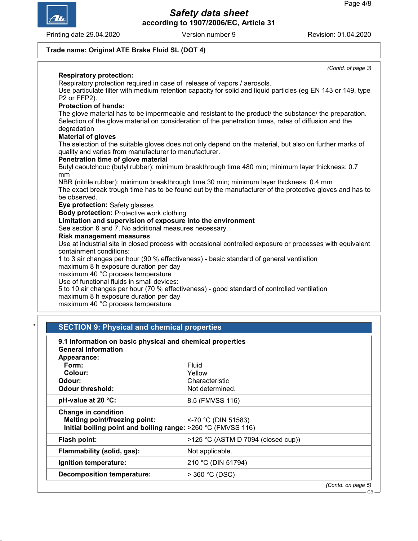GB



Safety data sheet according to 1907/2006/EC, Article 31

Printing date 29.04.2020 Version number 9 Revision: 01.04.2020

# Trade name: Original ATE Brake Fluid SL (DOT 4)

| (Contd. of page 3)<br><b>Respiratory protection:</b>                                                         |
|--------------------------------------------------------------------------------------------------------------|
| Respiratory protection required in case of release of vapors / aerosols.                                     |
| Use particulate filter with medium retention capacity for solid and liquid particles (eg EN 143 or 149, type |
| P2 or FFP2).                                                                                                 |
| <b>Protection of hands:</b>                                                                                  |
| The glove material has to be impermeable and resistant to the product/ the substance/ the preparation.       |
| Selection of the glove material on consideration of the penetration times, rates of diffusion and the        |
| degradation                                                                                                  |
| <b>Material of gloves</b>                                                                                    |
| The selection of the suitable gloves does not only depend on the material, but also on further marks of      |
| quality and varies from manufacturer to manufacturer.                                                        |
| Penetration time of glove material                                                                           |
| Butyl caoutchouc (butyl rubber): minimum breakthrough time 480 min; minimum layer thickness: 0.7             |
| mm                                                                                                           |
| NBR (nitrile rubber): minimum breakthrough time 30 min; minimum layer thickness: 0.4 mm                      |
| The exact break trough time has to be found out by the manufacturer of the protective gloves and has to      |
| be observed.                                                                                                 |
| Eye protection: Safety glasses                                                                               |
| <b>Body protection: Protective work clothing</b>                                                             |
| Limitation and supervision of exposure into the environment                                                  |
| See section 6 and 7. No additional measures necessary.                                                       |
| <b>Risk management measures</b>                                                                              |
| Use at industrial site in closed process with occasional controlled exposure or processes with equivalent    |
| containment conditions:                                                                                      |
| 1 to 3 air changes per hour (90 % effectiveness) - basic standard of general ventilation                     |
| maximum 8 h exposure duration per day                                                                        |
| maximum 40 °C process temperature<br>Use of functional fluids in small devices:                              |
| 5 to 10 air changes per hour (70 % effectiveness) - good standard of controlled ventilation                  |
| maximum 8 h exposure duration per day                                                                        |
| maximum 40 °C process temperature                                                                            |
|                                                                                                              |

| 9.1 Information on basic physical and chemical properties<br><b>General Information</b><br>Appearance:                      |                                    |
|-----------------------------------------------------------------------------------------------------------------------------|------------------------------------|
| Form:                                                                                                                       | Fluid                              |
| Colour:                                                                                                                     | Yellow                             |
| Odour:                                                                                                                      | Characteristic                     |
| <b>Odour threshold:</b>                                                                                                     | Not determined.                    |
| pH-value at 20 °C:                                                                                                          | 8.5 (FMVSS 116)                    |
| <b>Change in condition</b><br>Melting point/freezing point:<br>Initial boiling point and boiling range: >260 °C (FMVSS 116) | $<$ -70 °C (DIN 51583)             |
| Flash point:                                                                                                                | >125 °C (ASTM D 7094 (closed cup)) |
| Flammability (solid, gas):                                                                                                  | Not applicable.                    |
| Ignition temperature:                                                                                                       | 210 °C (DIN 51794)                 |
| <b>Decomposition temperature:</b>                                                                                           | $>$ 360 °C (DSC)                   |
|                                                                                                                             | (Contd. on page 5)                 |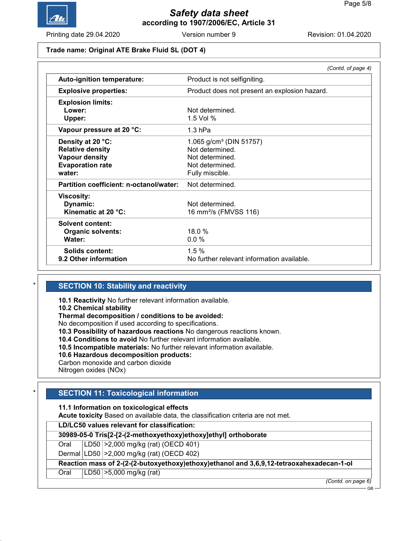

Printing date 29.04.2020 **Revision: 01.04.2020** Version number 9 Revision: 01.04.2020

#### Trade name: Original ATE Brake Fluid SL (DOT 4)

|                                         | (Contd. of page 4)                            |  |
|-----------------------------------------|-----------------------------------------------|--|
| Auto-ignition temperature:              | Product is not selfigniting.                  |  |
| <b>Explosive properties:</b>            | Product does not present an explosion hazard. |  |
| <b>Explosion limits:</b>                |                                               |  |
| Lower:                                  | Not determined.                               |  |
| Upper:                                  | 1.5 Vol $%$                                   |  |
| Vapour pressure at 20 °C:               | $1.3$ hPa                                     |  |
| Density at 20 °C:                       | 1.065 $g/cm3$ (DIN 51757)                     |  |
| <b>Relative density</b>                 | Not determined.                               |  |
| <b>Vapour density</b>                   | Not determined.                               |  |
| <b>Evaporation rate</b>                 | Not determined.                               |  |
| water:                                  | Fully miscible.                               |  |
| Partition coefficient: n-octanol/water: | Not determined.                               |  |
| Viscosity:                              |                                               |  |
| Dynamic:                                | Not determined.                               |  |
| Kinematic at 20 °C:                     | 16 mm <sup>2</sup> /s (FMVSS 116)             |  |
| Solvent content:                        |                                               |  |
| <b>Organic solvents:</b>                | 18.0%                                         |  |
| Water:                                  | 0.0%                                          |  |
| Solids content:                         | 1.5%                                          |  |
| 9.2 Other information                   | No further relevant information available.    |  |

## **SECTION 10: Stability and reactivity**

10.1 Reactivity No further relevant information available.

10.2 Chemical stability

Thermal decomposition / conditions to be avoided:

No decomposition if used according to specifications.

10.3 Possibility of hazardous reactions No dangerous reactions known.

10.4 Conditions to avoid No further relevant information available.

10.5 Incompatible materials: No further relevant information available.

10.6 Hazardous decomposition products:

Carbon monoxide and carbon dioxide

Nitrogen oxides (NOx)

## **SECTION 11: Toxicological information**

11.1 Information on toxicological effects

Acute toxicity Based on available data, the classification criteria are not met.

LD/LC50 values relevant for classification:

30989-05-0 Tris[2-[2-(2-methoxyethoxy)ethoxy]ethyl] orthoborate

Oral LD50 >2,000 mg/kg (rat) (OECD 401)

Dermal LD50 >2,000 mg/kg (rat) (OECD 402)

Reaction mass of 2-(2-(2-butoxyethoxy)ethoxy)ethanol and 3,6,9,12-tetraoxahexadecan-1-ol

Oral LD50 >5,000 mg/kg (rat)

(Contd. on page 6)

GB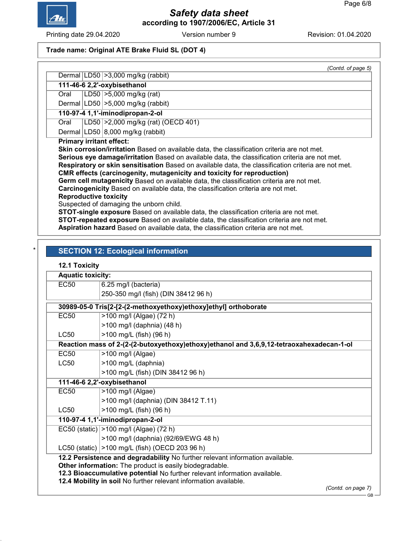

Printing date 29.04.2020 Version number 9 Revision: 01.04.2020

## Trade name: Original ATE Brake Fluid SL (DOT 4)

|      | (Contd. of page 5)                                                                                                                                                                                                                                                                                                                                                                                                                                                                                                                                                                                                                                                                                   |
|------|------------------------------------------------------------------------------------------------------------------------------------------------------------------------------------------------------------------------------------------------------------------------------------------------------------------------------------------------------------------------------------------------------------------------------------------------------------------------------------------------------------------------------------------------------------------------------------------------------------------------------------------------------------------------------------------------------|
|      | Dermal $ LD50  > 3,000$ mg/kg (rabbit)                                                                                                                                                                                                                                                                                                                                                                                                                                                                                                                                                                                                                                                               |
|      | 111-46-6 2,2'-oxybisethanol                                                                                                                                                                                                                                                                                                                                                                                                                                                                                                                                                                                                                                                                          |
| Oral | LD50 $ >5,000$ mg/kg (rat)                                                                                                                                                                                                                                                                                                                                                                                                                                                                                                                                                                                                                                                                           |
|      | Dermal $ LD50  > 5,000$ mg/kg (rabbit)                                                                                                                                                                                                                                                                                                                                                                                                                                                                                                                                                                                                                                                               |
|      | 110-97-4 1,1'-iminodipropan-2-ol                                                                                                                                                                                                                                                                                                                                                                                                                                                                                                                                                                                                                                                                     |
| Oral | LD50 > 2,000 mg/kg (rat) (OECD 401)                                                                                                                                                                                                                                                                                                                                                                                                                                                                                                                                                                                                                                                                  |
|      | Dermal   LD50   8,000 mg/kg (rabbit)                                                                                                                                                                                                                                                                                                                                                                                                                                                                                                                                                                                                                                                                 |
|      | <b>Primary irritant effect:</b><br><b>Skin corrosion/irritation</b> Based on available data, the classification criteria are not met.<br>Serious eye damage/irritation Based on available data, the classification criteria are not met.<br>Respiratory or skin sensitisation Based on available data, the classification criteria are not met.<br><b>CMR</b> effects (carcinogenity, mutagenicity and toxicity for reproduction)<br><b>Germ cell mutagenicity</b> Based on available data, the classification criteria are not met.<br>Carcinogenicity Based on available data, the classification criteria are not met.<br><b>Reproductive toxicity</b><br>Suspected of damaging the unborn child. |
|      | STOT-single exposure Based on available data, the classification criteria are not met.<br><b>STOT-repeated exposure</b> Based on available data, the classification criteria are not met.                                                                                                                                                                                                                                                                                                                                                                                                                                                                                                            |
|      | Aspiration hazard Based on available data, the classification criteria are not met.                                                                                                                                                                                                                                                                                                                                                                                                                                                                                                                                                                                                                  |

## **SECTION 12: Ecological information**

## 12.1 Toxicity

| <b>Aquatic toxicity:</b>                                                                                                                      |                                                                                          |  |
|-----------------------------------------------------------------------------------------------------------------------------------------------|------------------------------------------------------------------------------------------|--|
| <b>EC50</b>                                                                                                                                   | 6.25 mg/l (bacteria)                                                                     |  |
|                                                                                                                                               | 250-350 mg/l (fish) (DIN 38412 96 h)                                                     |  |
|                                                                                                                                               | 30989-05-0 Tris[2-[2-(2-methoxyethoxy)ethoxy]ethyl] orthoborate                          |  |
| EC <sub>50</sub>                                                                                                                              | >100 mg/l (Algae) (72 h)                                                                 |  |
|                                                                                                                                               | >100 mg/l (daphnia) (48 h)                                                               |  |
| LC50                                                                                                                                          | >100 mg/L (fish) (96 h)                                                                  |  |
|                                                                                                                                               | Reaction mass of 2-(2-(2-butoxyethoxy)ethoxy)ethanol and 3,6,9,12-tetraoxahexadecan-1-ol |  |
| <b>EC50</b>                                                                                                                                   | >100 mg/l (Algae)                                                                        |  |
| LC50                                                                                                                                          | >100 mg/L (daphnia)                                                                      |  |
|                                                                                                                                               | >100 mg/L (fish) (DIN 38412 96 h)                                                        |  |
|                                                                                                                                               | 111-46-6 2,2'-oxybisethanol                                                              |  |
| <b>EC50</b>                                                                                                                                   | >100 mg/l (Algae)                                                                        |  |
|                                                                                                                                               | >100 mg/l (daphnia) (DIN 38412 T.11)                                                     |  |
| LC50                                                                                                                                          | >100 mg/L (fish) (96 h)                                                                  |  |
|                                                                                                                                               | 110-97-4 1,1'-iminodipropan-2-ol                                                         |  |
|                                                                                                                                               | EC50 (static) > 100 mg/l (Algae) (72 h)                                                  |  |
|                                                                                                                                               | >100 mg/l (daphnia) (92/69/EWG 48 h)                                                     |  |
|                                                                                                                                               | LC50 (static)   > 100 mg/L (fish) (OECD 203 96 h)                                        |  |
|                                                                                                                                               | 12.2 Persistence and degradability No further relevant information available.            |  |
|                                                                                                                                               | Other information: The product is easily biodegradable.                                  |  |
| 12.3 Bioaccumulative potential No further relevant information available.<br>12.4 Mobility in soil No further relevant information available. |                                                                                          |  |
|                                                                                                                                               | (Contd. on page 7)                                                                       |  |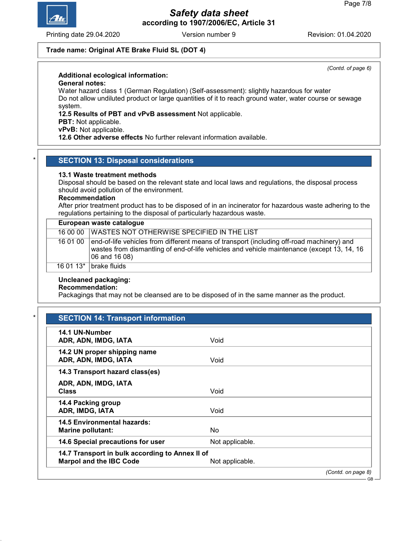

Printing date 29.04.2020 **Revision: 01.04.2020** Version number 9 Revision: 01.04.2020

(Contd. of page 6)

### Trade name: Original ATE Brake Fluid SL (DOT 4)

## Additional ecological information:

### General notes:

Water hazard class 1 (German Regulation) (Self-assessment): slightly hazardous for water Do not allow undiluted product or large quantities of it to reach ground water, water course or sewage system.

#### 12.5 Results of PBT and vPvB assessment Not applicable.

PBT: Not applicable.

vPvB: Not applicable.

12.6 Other adverse effects No further relevant information available.

#### **SECTION 13: Disposal considerations**

#### 13.1 Waste treatment methods

Disposal should be based on the relevant state and local laws and regulations, the disposal process should avoid pollution of the environment.

#### Recommendation

After prior treatment product has to be disposed of in an incinerator for hazardous waste adhering to the regulations pertaining to the disposal of particularly hazardous waste.

| European waste catalogue |                                                                                                                                                                                                           |  |
|--------------------------|-----------------------------------------------------------------------------------------------------------------------------------------------------------------------------------------------------------|--|
|                          | 16 00 00 WASTES NOT OTHERWISE SPECIFIED IN THE LIST                                                                                                                                                       |  |
| 16 01 00                 | end-of-life vehicles from different means of transport (including off-road machinery) and<br>wastes from dismantling of end-of-life vehicles and vehicle maintenance (except 13, 14, 16)<br>06 and 16 08) |  |
|                          | 16 01 13 $*$ brake fluids                                                                                                                                                                                 |  |

#### Uncleaned packaging:

## Recommendation:

Packagings that may not be cleansed are to be disposed of in the same manner as the product.

| 14.1 UN-Number<br>ADR, ADN, IMDG, IATA                                            | Void            |                    |
|-----------------------------------------------------------------------------------|-----------------|--------------------|
| 14.2 UN proper shipping name<br>ADR, ADN, IMDG, IATA                              | Void            |                    |
| 14.3 Transport hazard class(es)                                                   |                 |                    |
| ADR, ADN, IMDG, IATA<br><b>Class</b>                                              | Void            |                    |
| 14.4 Packing group<br>ADR, IMDG, IATA                                             | Void            |                    |
| <b>14.5 Environmental hazards:</b><br><b>Marine pollutant:</b>                    | <b>No</b>       |                    |
| 14.6 Special precautions for user                                                 | Not applicable. |                    |
| 14.7 Transport in bulk according to Annex II of<br><b>Marpol and the IBC Code</b> | Not applicable. |                    |
|                                                                                   |                 | (Contd. on page 8) |